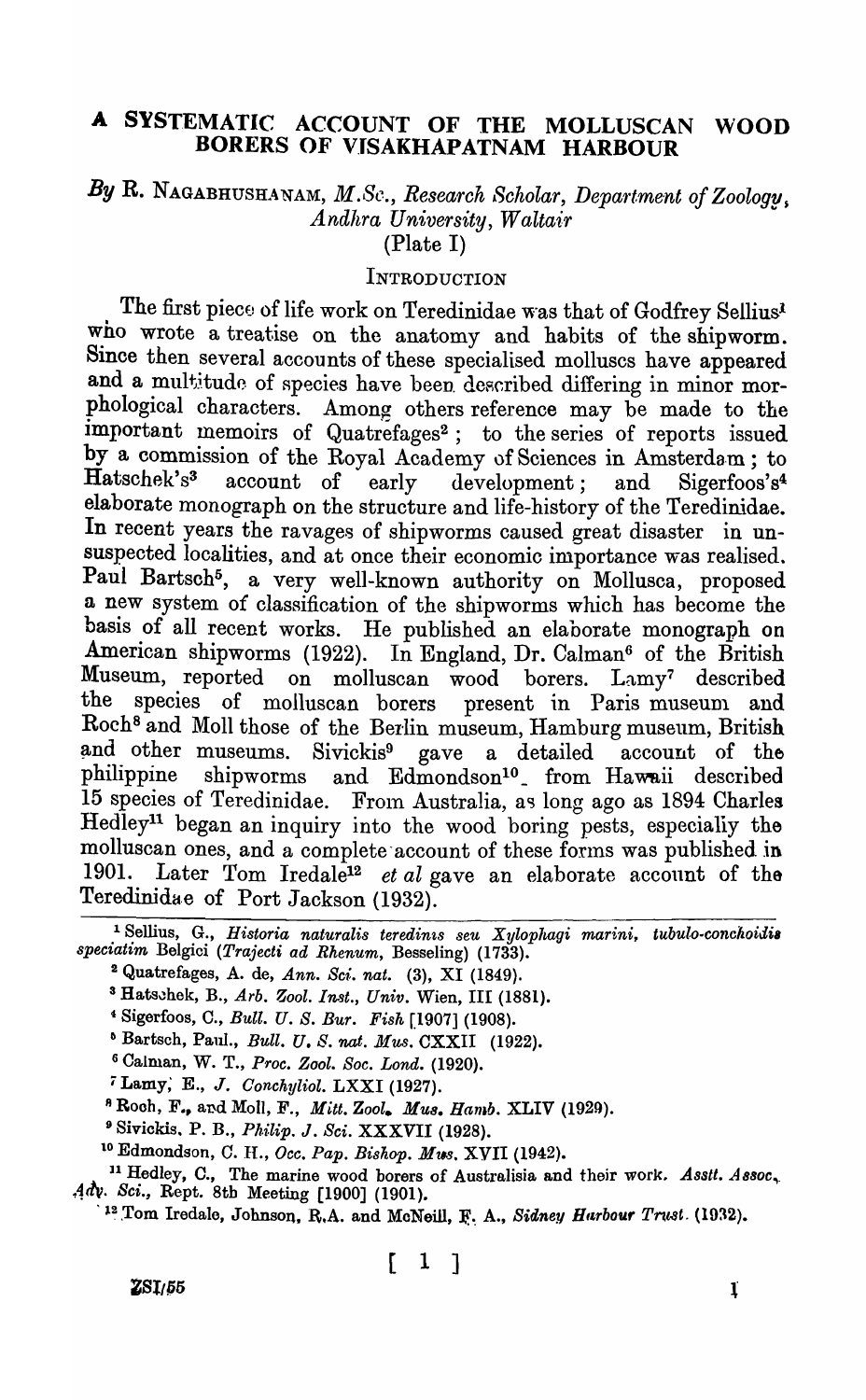### A SYSTEMATIC ACCOUNT OF THE MOLLUSCAN WOOD BORERS OF VISAKHAPATNAM HARBOUR

# By R. NAGABHUSHANAM, *M.Sc., Research Scholar, Department of Zoology*, *Andhra University, Waltair*

(Plate I)

### **INTRODUCTION**

The first piece of life work on Teredinidae was that of Godfrey Sellius<sup>l</sup> who wrote a treatise on the anatomy and habits of the shipworm. Since then several accounts of these specialised molluscs have appeared and a multitude of species have been described differing in minor morphological characters. Among others reference may be made to the important memoirs of Quatrefages<sup>2</sup>; to the series of reports issued by a commission of the Royal Academy of Sciences in Amsterdam; to Hatschek's3 account of early development; and Sigerfoos's4 elaborate monograph on the structure and life-history of the Teredinidae. In recent years the ravages of shipworms caused great disaster in unsuspected localities, and at once their economic importance was realised. Paul Bartsch<sup>5</sup>, a very well-known authority on Mollusca, proposed a new system of classification of the shipworms which has become the basis of all recent works. He published an elaborate monograph on American shipworms (1922). In England, Dr. Calman<sup>6</sup> of the British Museum, reported on molluscan wood borers. Lamy7 described the species of molluscan borers present in Paris museum and Roch<sup>8</sup> and Moll those of the Berlin museum, Hamburg museum, British and other museums. Sivickis<sup>9</sup> gave a detailed account of the philippine shipworms and Edmondson<sup>10</sup> from Hawaii described 15 species of Teredinidae. From Australia, as long ago as 1894 Charles Hedley<sup>11</sup> began an inquiry into the wood boring pests, especially the molluscan ones, and a complete account of these forms was published in 1901. Later Tom Iredale<sup>12</sup> *et al* gave an elaborate account of the Teredinidae of Port Jackson (1932).

<sup>1</sup> Sellius, G., *Historia naturalis teredinis seu Xylophagi marini*, tubulo-conchoidis *speciatim* Belgici *(Trajecti ad Rhenum,* Besseling) (1733).

<sup>2</sup> Quatrefages, A. de, Ann. Sci. nat. (3), XI (1849).

<sup>3</sup> Hatschek, B., Arb. Zool. Inst., Univ. Wien, III (1881).

4 Sigerfoos, C., *Bull. U. S. Bur. Fish* [1907] (1908).

<sup>6</sup> Bartsch, Paul., *Bull. U. S. nat. Mus.* CXXII (1922).

<sup>6</sup>CaIman, W. T., *Proc. Zaol. Soc. Lond. (1920).* 

*i* Lamy; E., J. *Oonchyliol.* LXXI (1927).

<sup>8</sup> Rooh, F., and Moll, F., *Mitt. Zool. Mus. Hamb.* XLIV (1929).

9 Siviokis. P. B., Ph.Uip. J. *Sci.* XXXVII (1928).

<sup>10</sup> Edmondson, C. H., *Occ. Pap. Bishop. Mus.* XVII (1942).

<sup>11</sup> Hedley, C., The marine wood borers of Australisia and their work. Asstt. Assoc, Adv. Sci., Rept. 8th Meeting [1900] (1901).

<sup>12</sup> Tom Iredale, Johnson, R.A. and McNeill, F. A., *Sidney Harbour Trust.* (1932).

 $ZSI/55$  **l** 

 $[1]$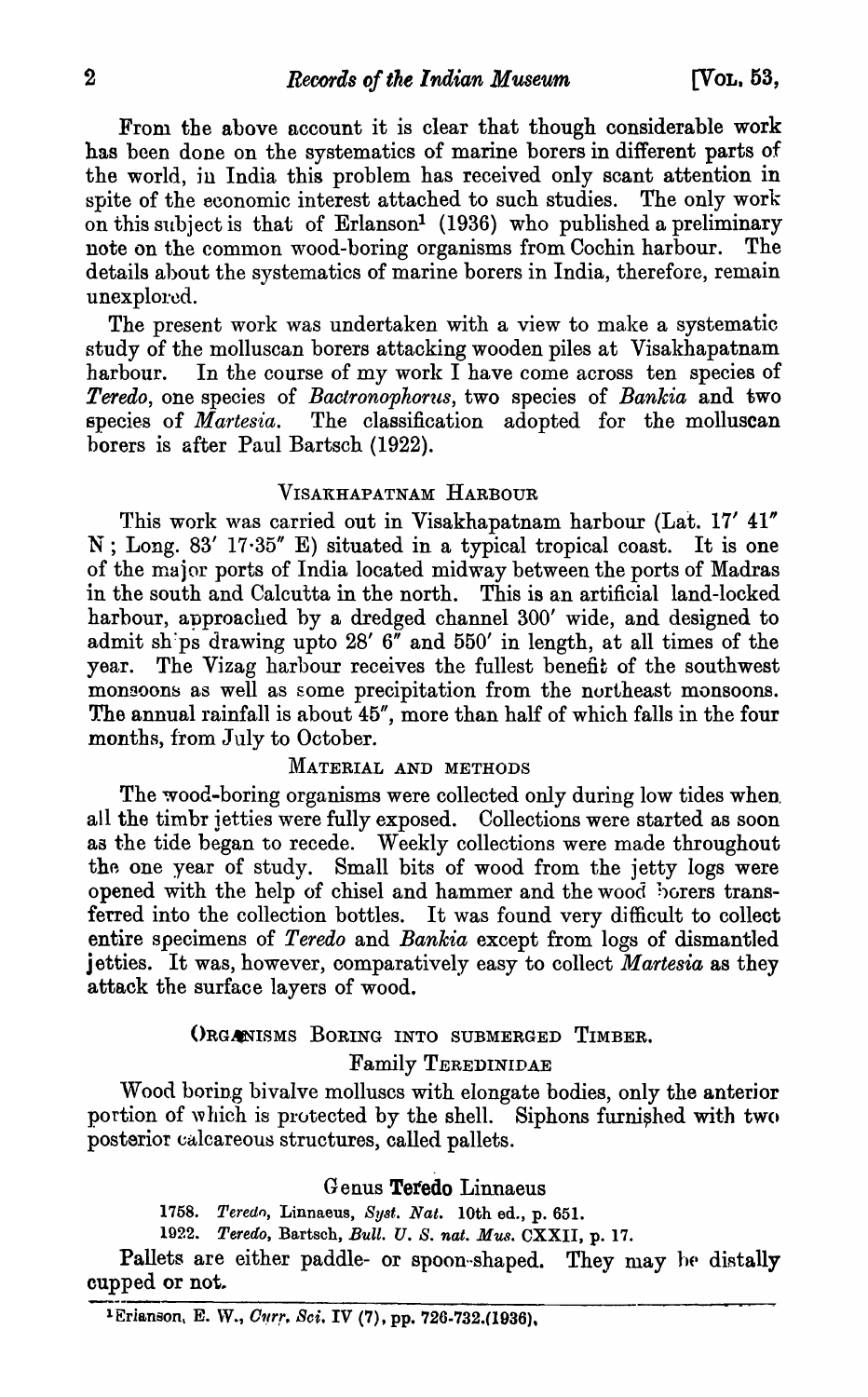From the above account it is clear that though considerable work has been done on the systematics of marine borers in different parts of the world, in India this problem has received only scant attention in spite of the economic interest attached to such studies. The only work on this subject is that of Erlanson<sup>1</sup> (1936) who published a preliminary note on the common wood-boring organisms from Cochin harbour. details ahout the systematics of marine borers in India, therefore, remain unexplored.

The present work was undertaken with a view to make a systematic study of the molluscan borers attacking wooden piles at Visakhapatnam harbour. In the course of my work  $\tilde{I}$  have come across ten species of *Teredo,* one species of *Bactronophorus*, two species of *Bankia* and two species of *Martesia.* The classification adopted for the molluscan borers is after Paul Bartsch (1922).

### VISAKHAPATNAM HARBOUR

This work was carried out in Visakhapatnam harbour (Lat. 17' 41" N ; Long. 83' 17·35" E) situated in a typical tropical coast. It is one of the major ports of India located midway between the ports of Madras in the south and Calcutta in the north. This is an artificial land-locked harbour, approached by a dredged channel 300' wide, and designed to admit sh:ps drawing upto 28' 6" and 550' in length, at all times of the year. The Vizag harbour receives the fullest benefit of the southwest monsoons as well as some precipitation from the northeast monsoons. The annual rainfall is about 45", more than half of which falls in the four months, from July to October.

### MATERIAL AND METHODS

The wood-boring organisms were collected only during low tides when. all the timbr jetties were fully exposed. Collections were started as soon as the tide began to recede. Weekly collections were made throughout the one year of study. Small bits of wood from the jetty logs were opened with the help of chisel and hammer and the wood horers transferred into the collection bottles. It was found very difficult to collect entire specimens of *Teredo* and *Bankia* except from logs of dismantled jetties. It was, however, comparatively easy to collect *Martesia* as they attack the surface layers of wood.

#### ORGANISMS BORING INTO SUBMERGED TIMBER.

### Family TEREDINIDAE

Wood boring bivalve molluscs with elongate bodies, only the anterior portion of which is protected by the shell. Siphons furnished with two posterior calcareous structures, called pallets.

### Genus Tetedo Linnaeus

*1758. Teredo,* Linnaeus, *SY8t. Nat.* 10th ed., p. 651.

1922. Teredo, Bartsch, *Bull. U. S. nat. Mus.* CXXII, p. 17.

Pallets are either paddle- or spoon-shaped. They may be distally cupped or not.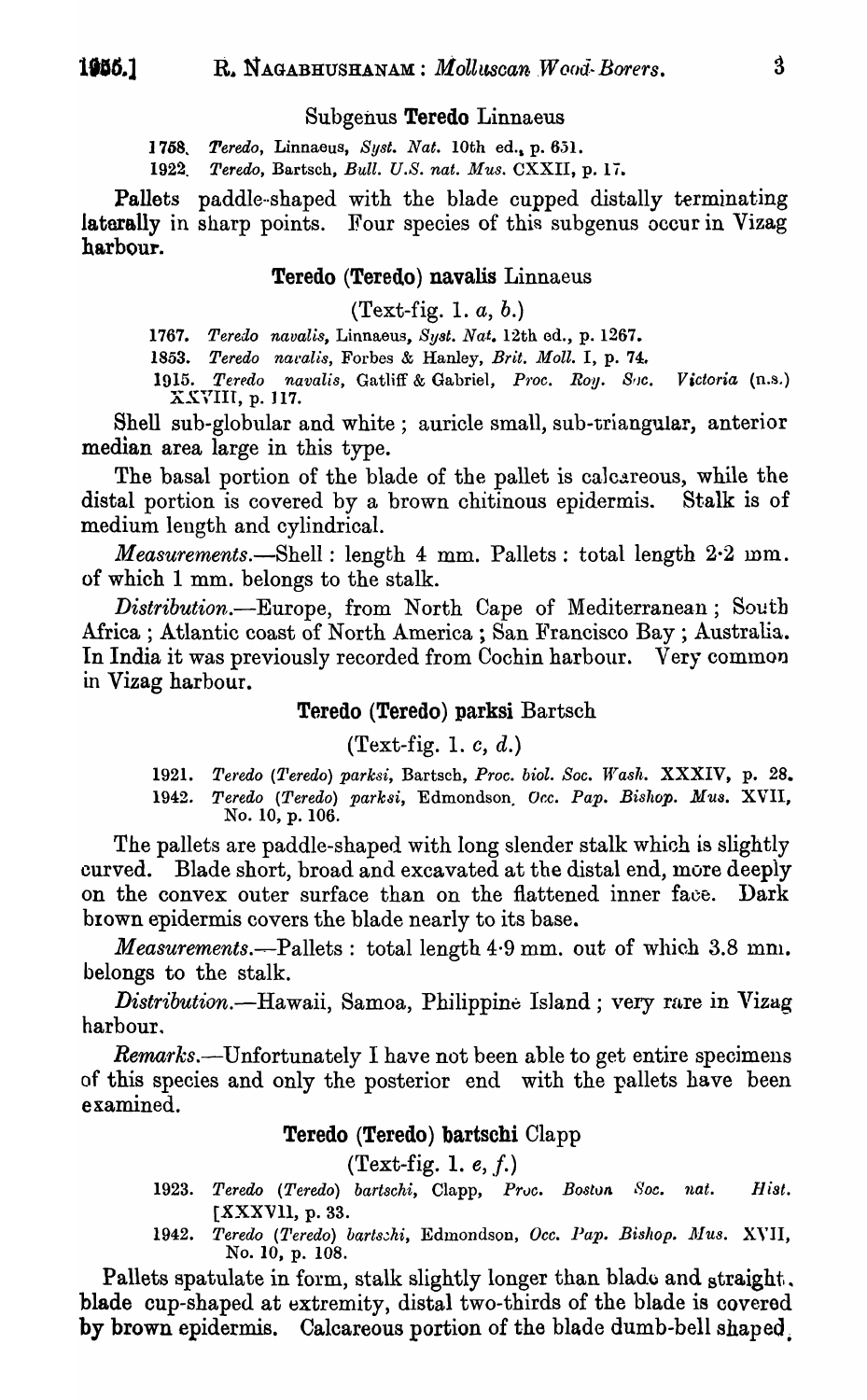#### Subgenus Teredo Linnaeus

1768. *Teredo,* Linnaeus, *Byst. Nat.* 10th ed., p. 6.3l.

1922. Teredo, Bartsch, *Bull. U.S. nat. Mus.* CXXII, p. 17.

Pallets paddle-shaped with the blade cupped distally terminating laterally in sharp points. Four species of this subgenus occur in Vizag harbour.

### Teredo (Teredo) navalis Linnaeus

(Text-fig. 1. *a,* b.)

1767. Teredo navalis, Linnaeus, Syst. Nat. 12th ed., p. 1267.

1853. Teredo naralis, Forbes & Hanley, *Brit. Moll.* I, p. 74.

1915. Teredo navalis, Gatliff & Gabriel, Proc. Roy. Soc. Victoria (n.s.) XXVIII, p. 117.

Shell sub-globular and white; auricle small, sub-triangular, anterior median area large in this type.

The basal portion of the blade of the pallet is calcareous, while the distal portion is covered by a brown chitinous epidermis. Stalk is of medium length and cylindrical.

*Measurements.-Shell:* length 4 mm. Pallets: total length 2·2 mm. of which 1 mm. belongs to the stalk.

*Distribution.-Europe,* from North Cape of Mediterranean; South Africa; Atlantic coast of North America; San Francisco Bay; Australia. In India it was previously recorded from Cochin harbour. Very common in Vizag harbour.

#### Teredo (Teredo) parksi Bartsch

#### (Text-fig. 1. *c,* d.)

1921. Teredo (Teredo) parksi, Bartsch, Proc. biol. Soc. Wash. XXXIV, p. 28. 1942. Teredo (Teredo) parksi, Edmondson. Occ. Pap. Bishop. Mus. XVII, No. 10, p. 106.

The pallets are paddle-shaped with long slender stalk which is slightly curved. Blade short, broad and excavated at the distal end, more deeply on the convex outer surface than on the flattened inner face. Dark brown epidermis covers the blade nearly to its base.

*Measurements.*—Pallets: total length 4.9 mm. out of which 3.8 mm. belongs to the stalk.

*Distribution.*—Hawaii, Samoa, Philippine Island; very rare in Vizag harbour.

Remarks.—Unfortunately I have not been able to get entire specimens of this species and only the posterior end with the pallets have been examined.

### Teredo (Teredo) bartschi Clapp

 $(Text\text{-}\mathbf{fig. 1. } e, f.)$ 

- 1923. Teredo (Teredo) bartschi, Clapp, Prvc. Bostvn Soc. nat. Hist. [XXXVII, p. 33.
- 1942. Teredo (Teredo) bartschi, Edmondson, *Occ. Pap. Bishop. Mus. XVII*, No. 10, p. 108.

Pallets spatulate in form, stalk slightly longer than blade and straight. blade cup-shaped at extremity, distal two-thirds of the blade is covered by brown epidermis. Calcareous portion of the blade dumb-bell shaped.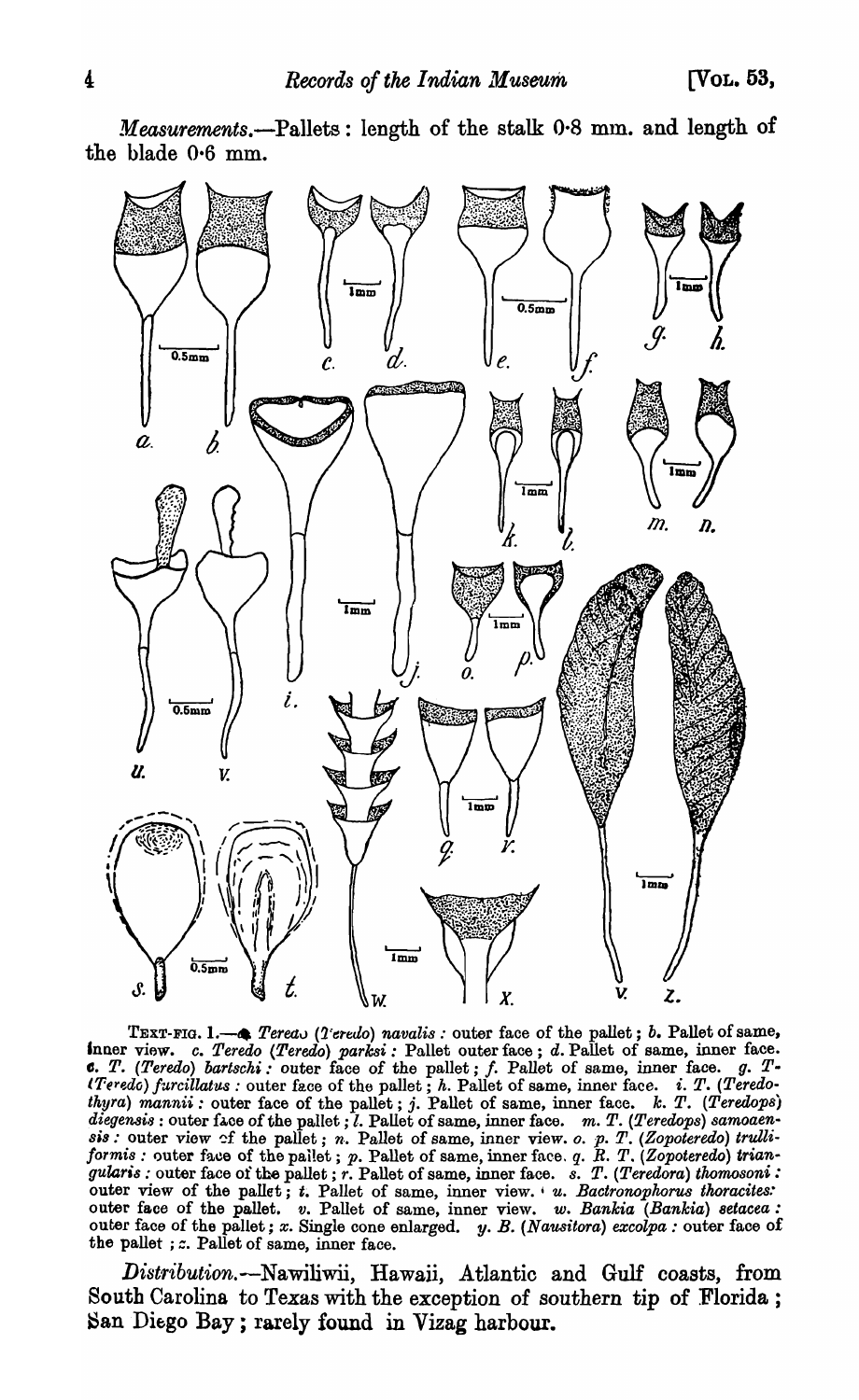*Measurements.-Pallets:* length of the stalk 0·8 mm. and length of the blade 0.6 mm.



TEXT-FIG. 1.- $\bullet$  *Tereav (Teredo) navalis:* outer face of the pallet; *b.* Pallet of same, Inner view. *c. Teredo (Teredo) parksi:* Pallet outer face; *d.* Pallet of same, inner face. CSt *T. (Teredo) bartscki:* outer face of the pallet; f. Pallet of same, inner face. *g. T· iTeredo) furcillatus*: outer face of the pallet; *h.* Pallet of same, inner face. *i. T. (Teredothyra)* mannii: outer face of the pallet; j. Pallet of same, inner face.  $k$ . T. (Teredops) diegensis : outer face of the pallet ; *l*. Pallet of same, inner face. *m. T. (Teredops) samoaen-8is:* outer view of the pallet; *n*. Pallet of same, inner view. *o. p. T. (Zopoteredo) trulliformis:* outer face of the pailet; *p.* Pallet of same, inner face. *q. R. T. (Zopoteredo) triangularis :* outer face of the pallet; *r.* Pallet of same, inner face. *s. T. (Teredora) thomosoni*: outer view of the pallet;  $t$ . Pallet of same, inner view. '  $u$ . Bactronophorus thoracites: outer face of the pallet. *v.* Pallet of same, inner view. *w. Bankia (Bankia) setacea:*  outer face of the pallet; *x.* Single cone enlarged. y. *B. (Nausitora) excolpa:* outer face of the pallet ; *z*. Pallet of same, inner face.

*Distribution.-NawiIiwii,* Hawaii, Atlantic and Gulf coasts, from South Carolina to Texas with the exception of southern tip of Florida; San Diego Bay; rarely found in Vizag harbour.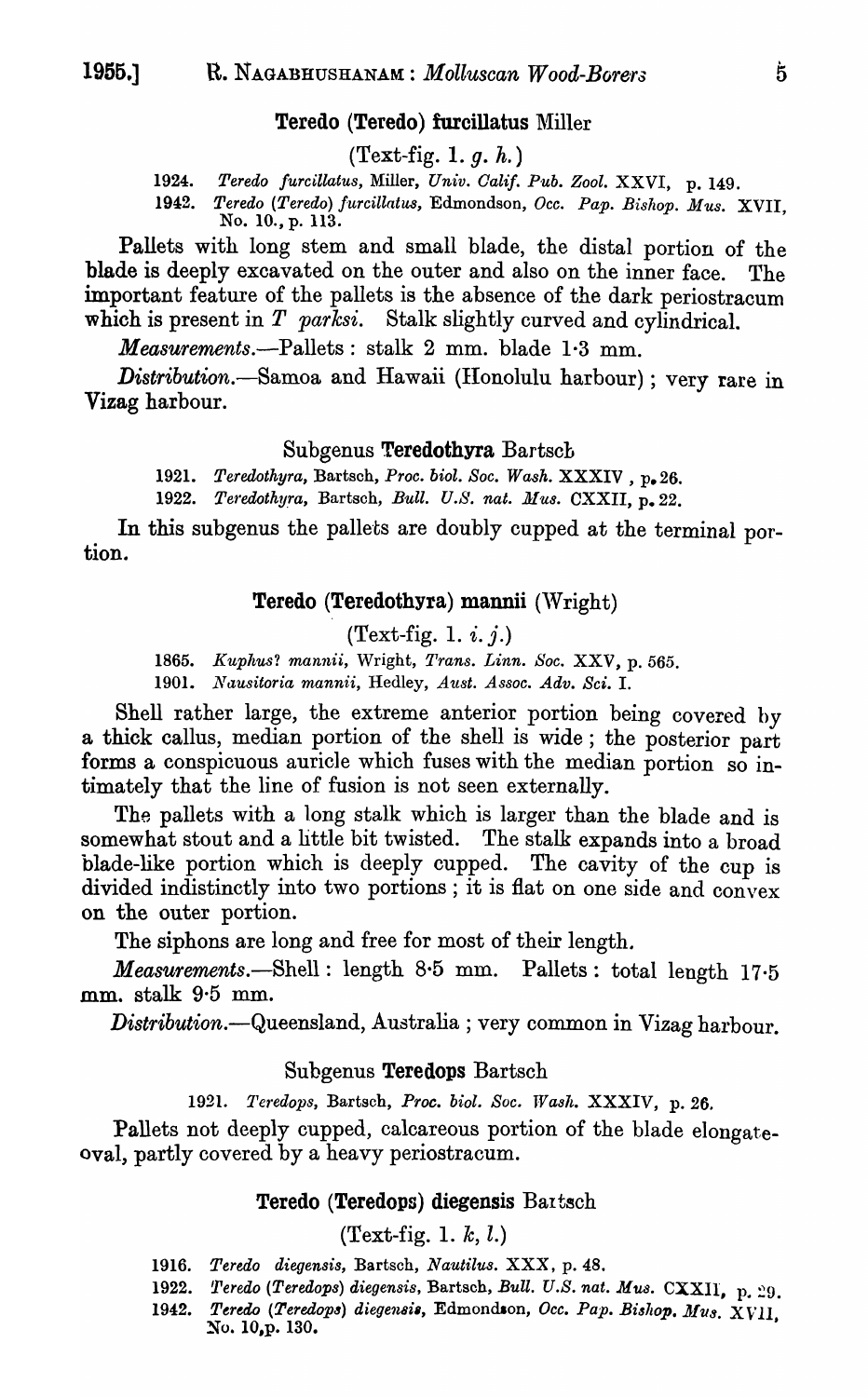### Teredo (Teredo) furcillatus Miller

 $(Text-fig. 1. g. h.)$ 

*1924. Teredo furcillatus,* Miller, *Univ. Galif. Pub. Zool.* XXVI, p. 149.

1942. Teredo (Teredo) furcillatus, Edmondson, Occ. Pap. Bishop. Mus. XVII. No. 10., p. 113.

Pallets with long stem and small blade, the distal portion of the blade is deeply excavated on the outer and also on the inner face. The important feature of the pallets is the absence of the dark periostracum which is present in *T parksi*. Stalk slightly curved and cylindrical.

*Measurements.-Pallets:* stalk 2 mm. blade 1·3 mm.

*Distribution.-Samoa* and Hawaii (IIonolulu harbour) ; very rare in Vizag harbour.

#### Subgenus Teredothyra Bartsch

*1921. Teredothyra,* Bartsch, *Proc. biol. Soc. Wash.* XXXIV , p.26.

1922. Teredothyra, Bartsch, *Bull. U.S. nat. Mus.* CXXII, p. 22.

In this subgenus the pallets are doubly cupped at the terminal portion.

### Teredo (Teredothyra) mannii (\Vright)

(Text-fig. 1.  $i$ .  $j$ .)

1865. Kuphus? mannii, Wright, *Trans. Linn. Soc.* XXV, p. 565.

1901. *llausitoria mannii,* Hedley, *Aust. Assoc. Adv. Sci.* I.

Shell rather large, the extreme anterior portion being covered hy a thick callus, median portion of the shell is wide; the posterior part forms a conspicuous auricle which fuses with the median portion so intimately that the line of fusion is not seen externally.

The pallets with a long stalk which is larger than the blade and is somewhat stout and a little bit twisted. The stalk expands into a broad blade-like portion which is deeply cupped. The cavity of the cup is divided indistinctly into two portions; it is flat on one side and convex on the outer portion.

The siphons are long and free for most of their length.

*Measurements.-Shell:* length 8-5 mm. Pallets: total length 17·5 mm. stalk 9·5 mm.

Distribution.- Queensland, Australia ; very common in Vizag harbour.

### Subgenus Teredops Bartsch

1921. Teredops, Bartsch, Proc. biol. Soc. Wash. XXXIV, p. 26.

Pallets not deeply cupped, calcareous portion of the blade elongateoval, partly covered by a heavy periostracum.

### Teredo (Teredops) diegensis Bartsch

### (Text-fig. 1. *lc,* l.)

- *1916. Teredo diegensis,* Bartsch, *Nautilus.* XXX, p. 48.
- 1922. Teredo (Teredops) diegensis, Bartsch, *Bull. U.S. nat. Mus.* CXXII, p. 29.
- 1942. Teredo (Teredops) diegensis, Edmondson, Occ. Pap. Bishop. Mus. XVII, No. 10,p. 130.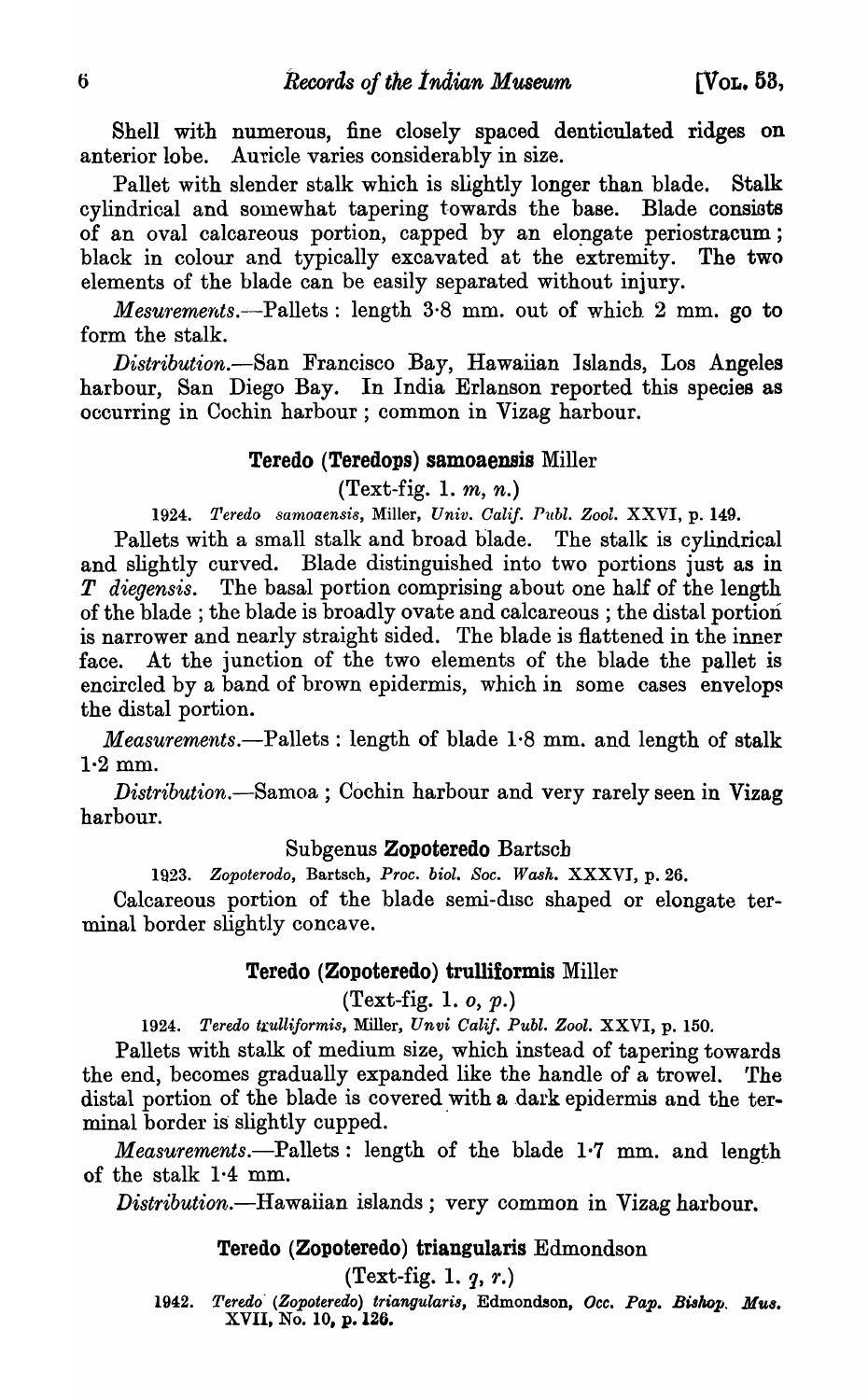Shell with numerous, fine closely spaced denticulated ridges on anterior lobe. Auricle varies considerably in size.

Pallet with slender stalk which is slightly longer than blade. Stalk cylindrical and somewhat tapering towards the base. Blade consiats of an oval calcareous portion, capped by an elopgate periostracum; black in colour and typically excavated at the extremity. The two elements of the blade can be easily separated without injury.

*Mesurements.*—Pallets: length 3.8 mm. out of which 2 mm. go to form the stalk.

*Distribution.-San* Francisco Bay, Hawaiian lslands, Los Angeles harbour, San Diego Bay. In India Erlanson reported this species as occurring in Cochin harbour; common in Vizag harbour.

#### Teredo (Teredops) samoaensis Miller

(Text-fig. 1.  $m, n$ .)

*1924. Teredo samoaensi8,* Miller, *Univ. Oalif. Publ. Zool.* XXVI, p. 149.

Pallets with a small stalk and broad blade. The stalk is cylindrical and slightly curved. Blade distinguished into two portions just as in *T diegensis.* The basal portion comprising about one half of the length of the blade; the blade is broadly ovate and calcareous; the distal portion is narrower and nearly straight sided. The blade is flattened in the inner face. At the junction of the two elements of the blade the pallet is encircled by a band of brown epidermis, which in some cases envelops the distal portion.

*Measurements.-Pallets* : length of blade 1·8 mm. and length of stalk  $1·2$  mm.

*Distribution.-Samoa* ; Cochin harbour and very rarely seen in Vizag harbour.

### Subgenus Zopoteredo Bartsch

*1923. Zopoterodo,* Bartsch, *Proc. biol. Soc. Wash.* XXXVI, p. 26.

Calcareous portion of the blade semi-disc shaped or elongate terminal border slightly concave.

#### Teredo (Zopoteredo) trulliformis Miller

(Text-fig. 1.  $o, p$ .)

1924. Teredo trulliformis, Miller, *Unvi Calif. Publ. Zool.* XXVI, p. 150.

Pallets with stalk of medium size, which instead of tapering towards the end, becomes gradually expanded like the handle of a trowel. 'fhe distal portion of the blade is covered with a dark epidermis and the terminal border is slightly cupped.

*Measurements.*—Pallets: length of the blade 1.7 mm. and length of the stalk 1·4 mm.

*Distribution.*-Hawaiian islands; very common in Vizag harbour.

### Teredo (Zopoteredo) triangularis Edmondson

(Text-fig. 1.  $q, r$ .)

*1942. Teredo' (Zopoteredo) triangularis,* Edmondson, *Occ. Pap. BiBhop. Mus.*  XVII, No. 10, p. 126.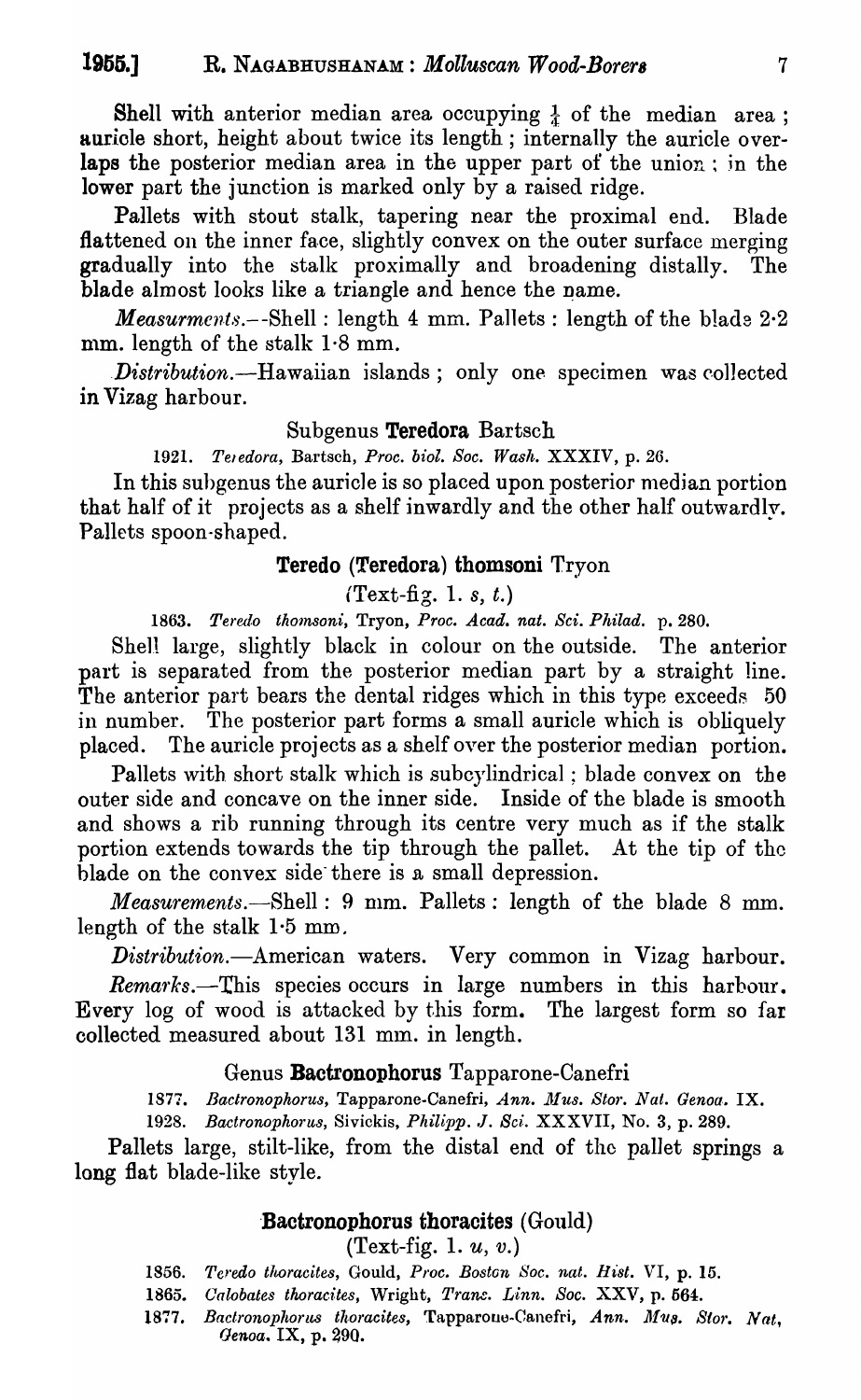Shell with anterior median area occupying  $\frac{1}{4}$  of the median area; auricle short, height about twice its length; internally the auricle overlaps the posterior median area in the upper part of the union; in the lower part the junction is marked only by a raised ridge.

Pallets with stout stalk, tapering near the proximal end. Blade flattened on the inner face, slightly convex on the outer surface merging gradually into the stalk proximally and broadening distally. The blade almost looks like a triangle and hence the name.

*Measurments.*--Shell : length 4 mm. Pallets : length of the blade 2.2 mm. length of the stalk  $1.8$  mm.

*. Distribution.-Hawaiian* islands; only one specimen was collected in Vizag harbour.

### Subgenus Teredora Bartsch

*1921. Teledora,* Bartsch, *Proc. biol. Soc. Wash.* XXXIV, p. 26.

In this subgenus the auricle is so placed upon posterior median portion that half of it projects as a shelf inwardly and the other half outwardly. Pallets spoon-shaped.

### Teredo (Teredora) thomsoni Tryon

(Text-fig. 1. *s, t.)* 

*1863. Teredo th01nBOni,* Tryon, *Proc. A cad. nat. Sci. Philad.* p. 280.

Shell large, slightly black in colour on the outside. The anterior part is separated from the posterior median part by a straight line. The anterior part bears the dental ridges which in this type exceeds 50 in number. The posterior part forms a small auricle which is obliquely placed. The auricle projects as a shelf over the posterior median portion.

Pallets with short stalk which is subcylindrical; blade convex on the outer side and concave on the inner side. Inside of the blade is smooth and shows a rib running through its centre very much as if the stalk portion extends towards the tip through the pallet. At the tip of the blade on the convex side there is a small depression.

*Measurements.*—Shell: 9 mm. Pallets: length of the blade 8 mm. length of the stalk  $1.5$  mm.

*Distribution.-American* waters. Very common in Vizag harbour. *Remafrks.-This* species occurs in large numbers in this harbour. Every log of wood is attacked by this form. The largest form so fat collected measured about 131 mm. in length.

### Genus Bactronophorus Tapparone-Canefri

1877. Bactronophorus, Tapparone-Canefri, *Ann. Mus. Stor. Nat. Genoa.* IX.

1928. Bactronophorus, Sivickis, *Philipp. J. Sci.* XXXVII, No. 3, p. 289.

Pallets large, stilt-like, from the distal end of the pallet springs a long flat blade-like style.

### 'Bactronophorus thoracites (Gould)

(Text-fig. 1.  $u, v$ .)

- 1856. Teredo thoracites, Gould, Proc. Boston Soc. nat. Hist. VI, p. 15.
- *1865. Oalobates thoradtes,* Wright, *Trane. L'inn. Soc.* XXV, p. 564.
- 1877. Bactronophorus thoracites, Tapparoue-Canefri, Ann. Mus. Stor. Nat. *Genoa.* IX, p. 290.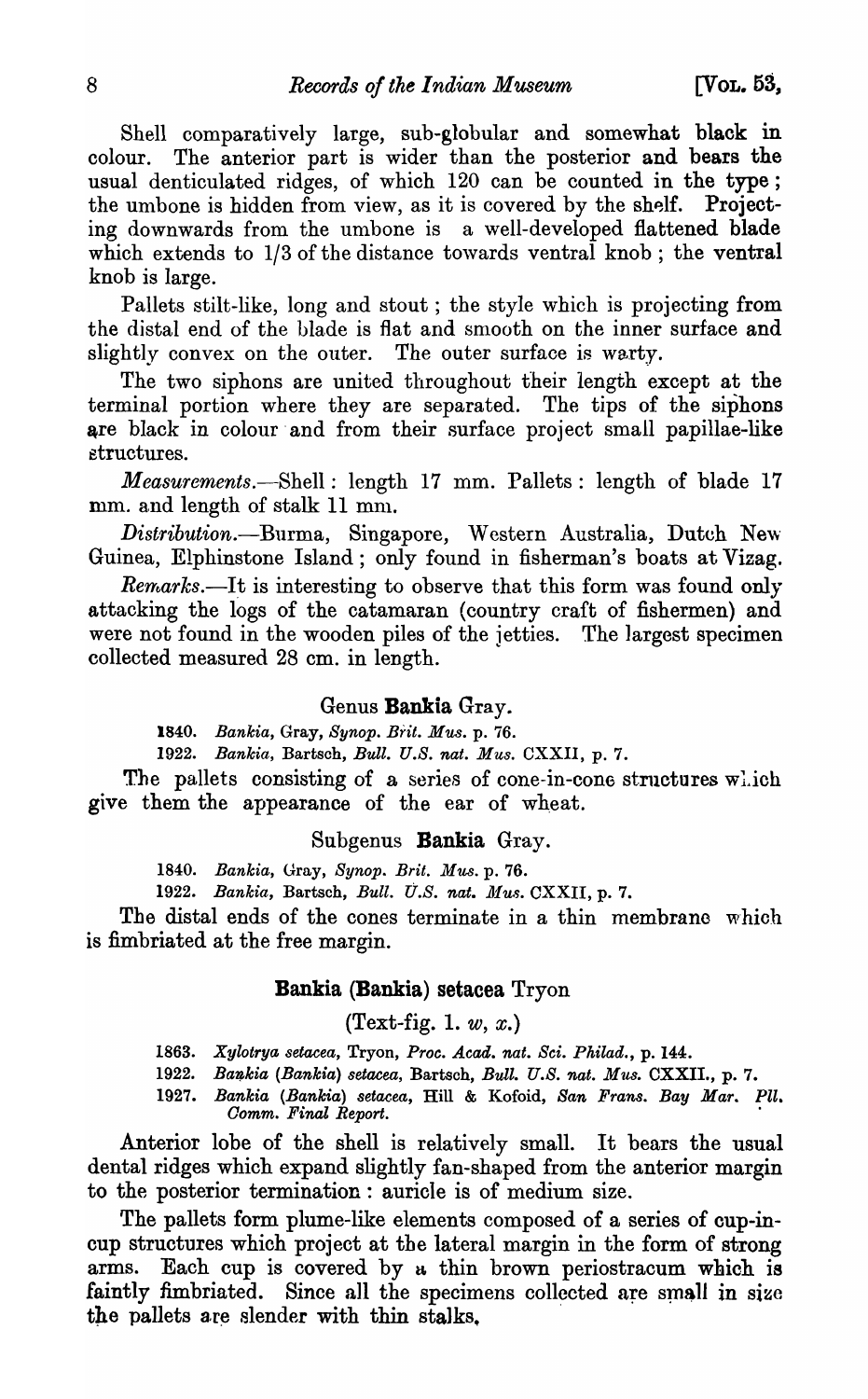Shell comparatively large, sub-globular and somewhat black in colour. The anterior part is wider than the posterior and bears the usual denticulated ridges, of which 120 can be counted in the type; the umbone is hidden from view, as it is covered by the shelf. Projecting downwards from the umbone is a well-developed flattened blade which extends to  $1/3$  of the distance towards ventral knob; the ventral knob is large.

Pallets stilt-like, long and stout; the style which is projecting from the distal end of the blade is flat and smooth on the inner surface and slightly convex on the outer. The outer surface is warty.

The two siphons are united throughout their length except at the terminal portion where they are separated. The tips of the siphons are black in colour and from their surface project small papillae-like &3tructures.

*Measurements.*—Shell: length 17 mm. Pallets: length of blade 17 mm. and length of stalk 11 mm.

*Distribution.*—Burma, Singapore, Western Australia, Dutch New Guinea, Elphinstone Island; only found in fisherman's boats at Vizag.

 $Remarks.$ —It is interesting to observe that this form was found only attacking the logs of the catamaran (country craft of fishermen) and were not found in the wooden piles of the jetties. The largest specimen collected measured 28 em. in length.

#### Genus Bankia Gray.

*1840. Bankia,* Gray, *Synop. Brit. Mus.* p. 76.

*1922. Bankia,* Bartsch, *Bull. U.B. nat. Mus.* CXXII, p. 7.

The pallets consisting of a series of cone-in-cone structures  $w_i$  ich give them the appearance of the ear of wheat.

#### Subgenus Bankia Gray.

*1840. Bankia,* Gray, *Bynop. Brit. Mus.* p. 76.

1922. Bankia, Bartsch, *Bull. U.S. nat. Mus.* CXXII, p. 7.

The distal ends of the cones terminate in a thin membrane which is fimbriated at the free margin.

#### Bankia (Bankia) setacea Tryon

(Text-fig. 1. *w,* x.)

*1863. Xylotrya setacea,* Tryon, *Proc. Acad. nat. Sci. Philad.,* p. 144.

*1922. Ba1J,kia (Bankia) setacea,* Bartsoh, *Bull. U.S. nat. Mus.* CXXII., p. 7.

*1927. Bankia (Banlcia) setacea,* Hill & Kofoid, *San Frans. Bay Mar. Pll. Oomm. Final Report. .* 

Anterior lobe of the shell is relatively small. It bears the usual dental ridges which expand slightly fan-shaped from the anterior margin to the posterior termination: auricle is of medium size.

The pallets form plume-like elements composed of a series of cup-incup structures which project at the lateral margin in the form of strong arms. Each cup is covered by a thin brown periostracum which is faintly fimbriated. Since all the specimens collected are small in size the pallets are slender with thin stalks.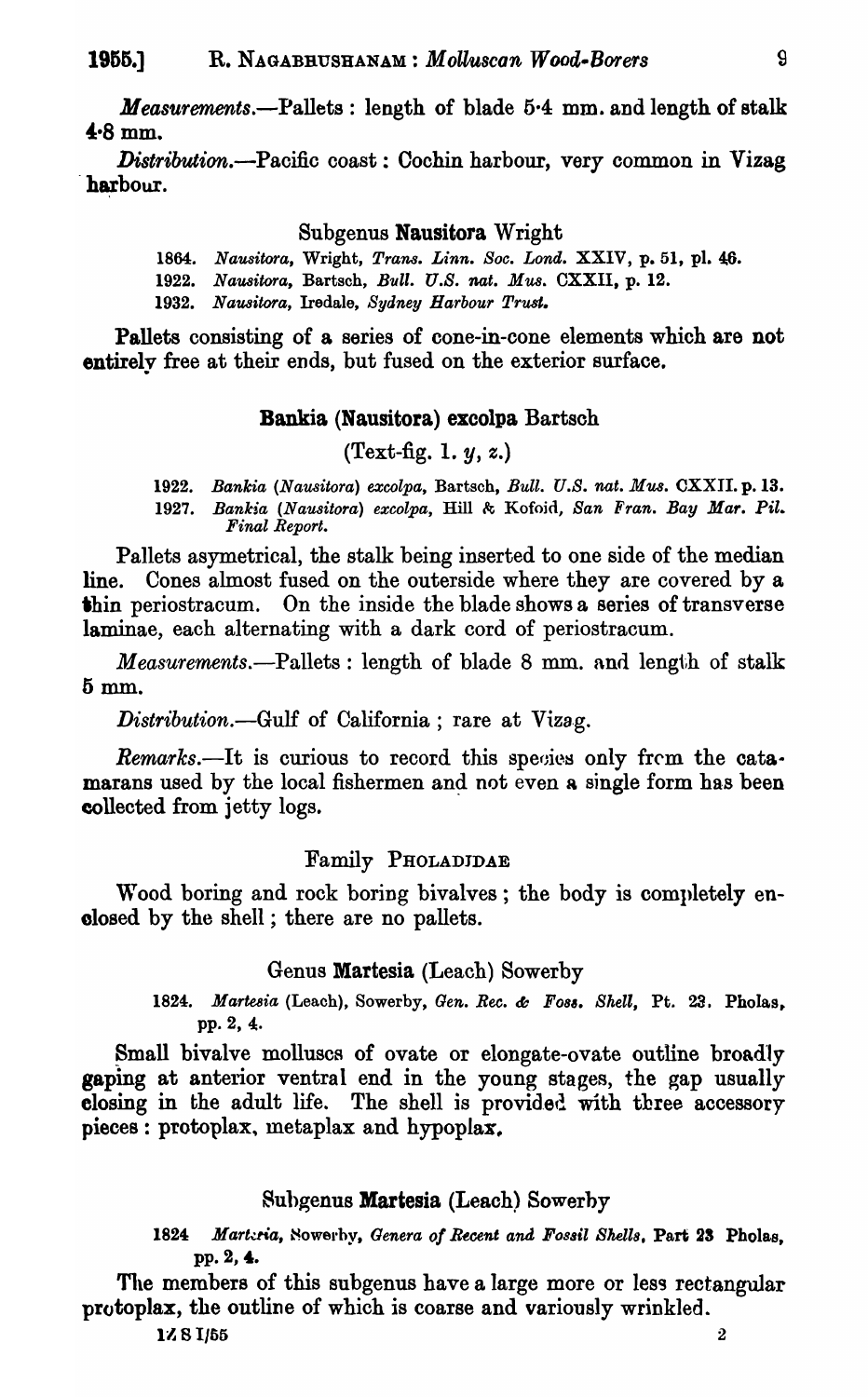*Measurements.-Pallets:* length of blade 5·4 mm. and length of stalk  $4.8$  mm.

Distribution.--Pacific coast: Cochin harbour, very common in Vizag harbour.

#### Subgenus Nausitora Wright

1864. Nausitora, Wright, *Trans. Linn. Soc. Lond.* XXIV, p. 51, pl. 46. *1922. NaU8itora,* Bartsch, *Bull. U.S. nat. MU8.* CXXII, p. 12.

*1932. NaU8itora,* Iredale, *Sydney Harbour Trust.* 

Pallets consisting of a series of cone-in-cone elements which are not entirely free at their ends, but fused on the exterior surface.

### Bankia (Nausitora) excolpa Bartsoh

(Text-fig. 1. *y,* z.)

*1922. Bankia (Nausitora) excolpa,* Bartsch, *Bull. U.S. nat. Mus.* CXXII. p.13. 1927. Bankia (Nausitora) excolpa, Hill & Kofoid, *San Fran. Bay Mar. Pil. Final Report.* 

Pallets asymetrical, the stalk being inserted to one side of the median line. Cones almost fused on the outerside where they are covered by a 'bin periostracum. On the inside the blade shows a series of transverse laminae, each alternating with a dark cord of periostracum.

*Measurements.*--Pallets : length of blade 8 mm. and length of stalk 5mm.

*Distribution.*—Gulf of California; rare at Vizag.

*Remarks.*—It is curious to record this species only from the catamarans used by the local fishermen and not even a single form has been collected from jetty logs.

#### Family PHOLADJDAE

Wood boring and rock boring bivalves; the body is completely enclosed by the shell ; there are no pallets.

#### Genus Martesia (Leach) Sowerby

*1824. Marte8ia* (Leach), Sowerby, *Gen. Bee.* &: *F083. Shell,* Pt. 23. Pholas. pp. 2, 4.

Small bivalve molluscs of ovate or elongate-ovate outline broadly gaping at anterior ventral end in the young stages, the gap usually elosing in the adult life. The shell is provided with three accessory pieces: protoplax, metaplax and hypoplax.

#### Subgenus **Martesia** (Leach) Sowerby

1824 Marteria, Nowerby, *Genera of Recent and Fossil Shells*, Part 23 Pholas, pp. 2, 4.

The members of this subgenus have a large more or less rectangular protoplax, the outline of which is coarse and variously wrinkled.

 $1/\sqrt{8}$  1/65 2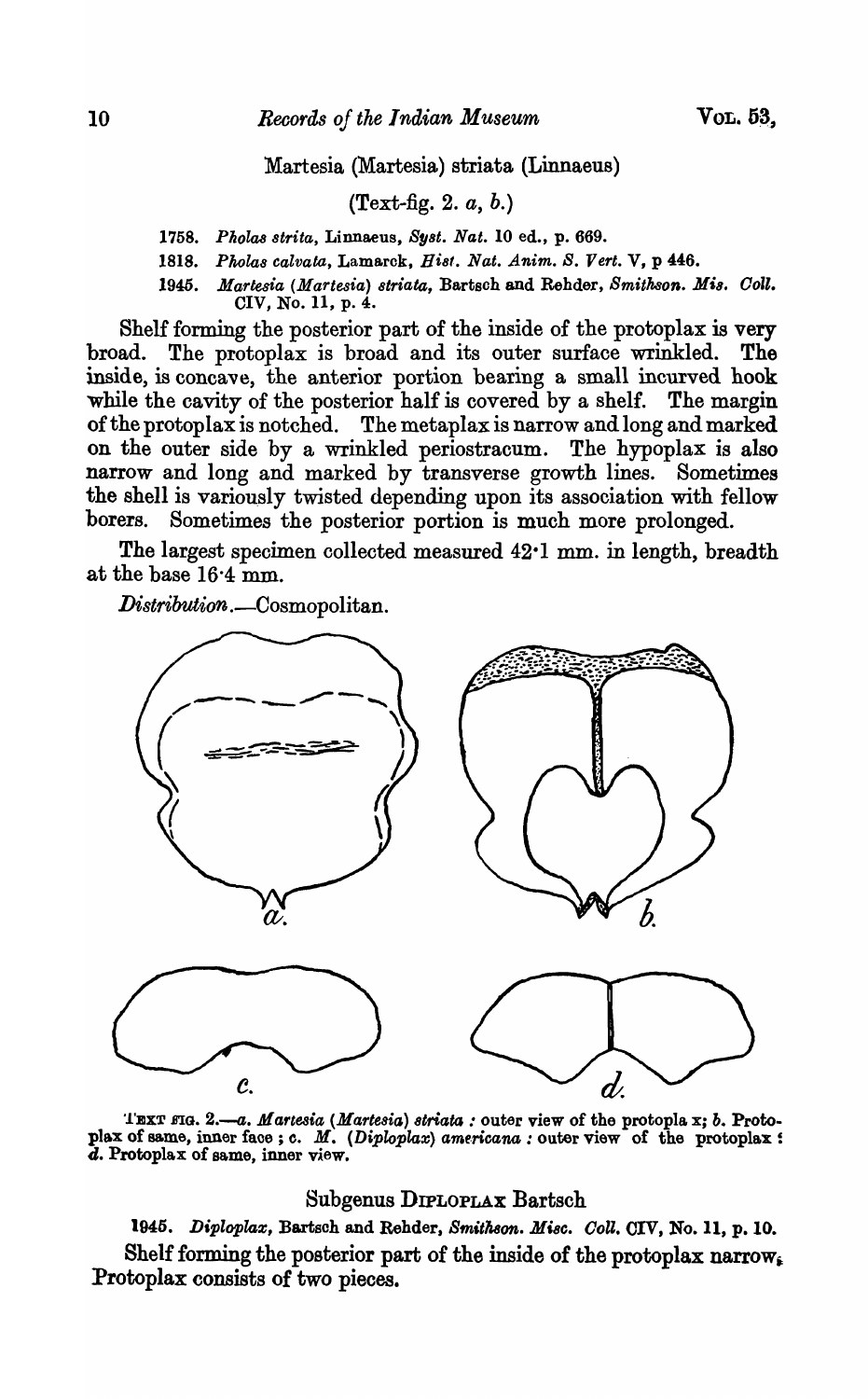Martesia (Martesia) striata (Linnaeu8)

### (Text-fig. 2. *a,* b.)

*1758. PllolaB strita,* Linnaeus, *BYBt. Nat.* 10 ed., p. 669.

1818. Pholas calvata, Lamarck, Hist. Nat. Anim. S. Vert. V, p 446.

1945. Martesia (Martesia) striata, Bartsch and Rehder, *Smithson. Mis. Coll.* CIV, No. 11, p. 4.

Shelf forming the posterior part of the inside of the protoplax is very broad. The protoplax is broad and its outer surface wrinkled. The inside, is concave, the anterior portion bearing a small incurved hook while the cavity of the posterior half is covered by a shelf. The margin of the protoplax is notched. The metaplax is narrow and long and marked on the outer side by a wrinkled periostracum. The hypoplax is also narrow and long and marked by transverse growth lines. Sometimes the shell is variously twisted depending upon its association with fellow borers. Sometimes the posterior portion is much more prolonged.

The largest specimen collected measured 42-1 mm. in length, breadth at the base  $16.4$  mm.

*Distribution*. Cosmopolitan.



TEXT FIG. 2.-a. Martesia (Martesia) striata : outer view of the protopla x; *b.* Protoplax of same, inner face ; c. M. (Diploplax) americana : outer view of the protoplax : d. Protoplax of same, inner view.

#### Subgenus DIPLOPLAX Bartsch

1945. Diploplax, Bartsch and Rehder, *Smithson. Misc. Coll.* CIV, No. 11, p. 10. Shelf forming the posterior part of the inside of the protoplax narrow. Protoplax consists of two pieces.